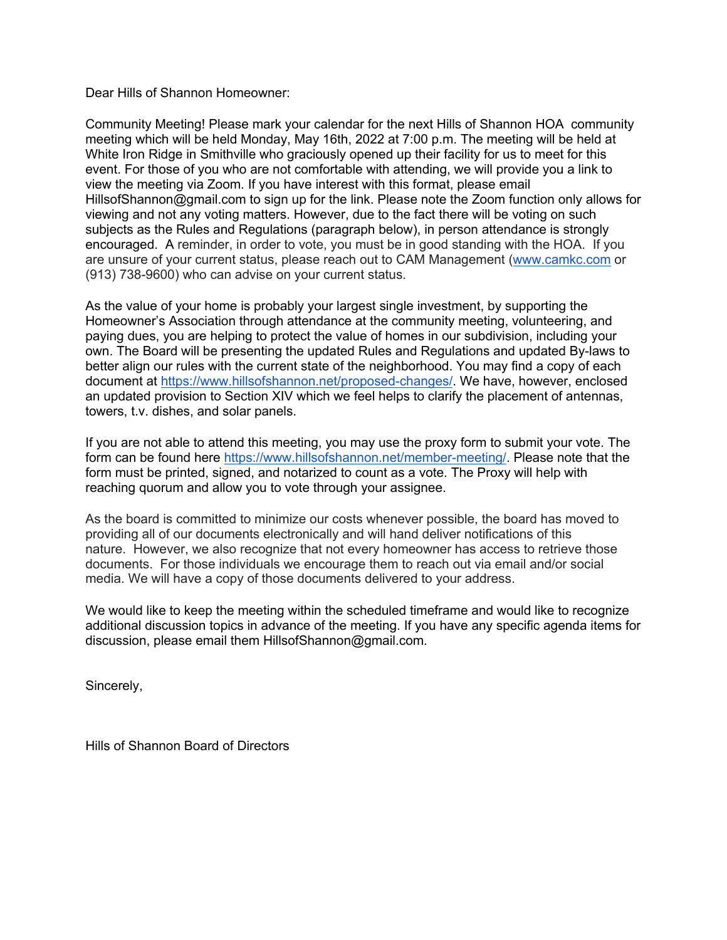Dear Hills of Shannon Homeowner:

Community Meeting! Please mark your calendar for the next Hills of Shannon HOA community meeting which will be held Monday, May 16th, 2022 at 7:00 p.m. The meeting will be held at White Iron Ridge in Smithville who graciously opened up their facility for us to meet for this event. For those of you who are not comfortable with attending, we will provide you a link to view the meeting via Zoom. If you have interest with this format, please email HillsofShannon@gmail.com to sign up for the link. Please note the Zoom function only allows for viewing and not any voting matters. However, due to the fact there will be voting on such subjects as the Rules and Regulations (paragraph below), in person attendance is strongly encouraged. A reminder, in order to vote, you must be in good standing with the HOA. If you are unsure of your current status, please reach out to CAM Management (www.camkc.com or (913) 738-9600) who can advise on your current status.

As the value of your home is probably your largest single investment, by supporting the Homeowner's Association through attendance at the community meeting, volunteering, and paying dues, you are helping to protect the value of homes in our subdivision, including your own. The Board will be presenting the updated Rules and Regulations and updated By-laws to better align our rules with the current state of the neighborhood. You may find a copy of each document at https://www.hillsofshannon.net/proposed-changes/. We have, however, enclosed an updated provision to Section XIV which we feel helps to clarify the placement of antennas, towers, t.v. dishes, and solar panels.

If you are not able to attend this meeting, you may use the proxy form to submit your vote. The form can be found here https://www.hillsofshannon.net/member-meeting/. Please note that the form must be printed, signed, and notarized to count as a vote. The Proxy will help with reaching quorum and allow you to vote through your assignee.

As the board is committed to minimize our costs whenever possible, the board has moved to providing all of our documents electronically and will hand deliver notifications of this nature. However, we also recognize that not every homeowner has access to retrieve those documents. For those individuals we encourage them to reach out via email and/or social media. We will have a copy of those documents delivered to your address.

We would like to keep the meeting within the scheduled timeframe and would like to recognize additional discussion topics in advance of the meeting. If you have any specific agenda items for discussion, please email them HillsofShannon@gmail.com.

Sincerely,

Hills of Shannon Board of Directors